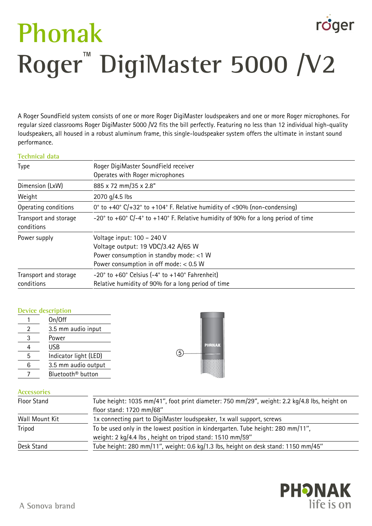# roger **Phonak Roger**™  **DigiMaster 5000 /V2**

A Roger SoundField system consists of one or more Roger DigiMaster loudspeakers and one or more Roger microphones. For regular sized classrooms Roger DigiMaster 5000 /V2 fits the bill perfectly. Featuring no less than 12 individual high-quality loudspeakers, all housed in a robust aluminum frame, this single-loudspeaker system offers the ultimate in instant sound performance.

#### **Technical data**

| Roger DigiMaster SoundField receiver<br>Operates with Roger microphones                                                                                 |  |
|---------------------------------------------------------------------------------------------------------------------------------------------------------|--|
| 885 x 72 mm/35 x 2.8"                                                                                                                                   |  |
| 2070 g/4.5 lbs                                                                                                                                          |  |
| 0° to +40° $C/+32$ ° to +104° F. Relative humidity of <90% (non-condensing)                                                                             |  |
| $-20^{\circ}$ to $+60^{\circ}$ C/ $-4^{\circ}$ to $+140^{\circ}$ F. Relative humidity of 90% for a long period of time                                  |  |
| Voltage input: 100 - 240 V<br>Voltage output: 19 VDC/3.42 A/65 W<br>Power consumption in standby mode: <1 W<br>Power consumption in off mode: $< 0.5 W$ |  |
| $-20^\circ$ to $+60^\circ$ Celsius ( $-4^\circ$ to $+140^\circ$ Fahrenheit)<br>Relative humidity of 90% for a long period of time                       |  |
|                                                                                                                                                         |  |

## **Device description**

|   | On/Off                        |  |
|---|-------------------------------|--|
|   | 3.5 mm audio input            |  |
| 3 | Power                         |  |
|   | USB                           |  |
| 5 | Indicator light (LED)         |  |
| 6 | 3.5 mm audio output           |  |
|   | Bluetooth <sup>®</sup> button |  |

## **Accessories**

| Floor Stand    | Tube height: 1035 mm/41", foot print diameter: 750 mm/29", weight: 2.2 kg/4.8 lbs, height on |  |
|----------------|----------------------------------------------------------------------------------------------|--|
|                | floor stand: 1720 mm/68"                                                                     |  |
| Wall Mount Kit | 1x connecting part to DigiMaster loudspeaker, 1x wall support, screws                        |  |
| Tripod         | To be used only in the lowest position in kindergarten. Tube height: 280 mm/11",             |  |
|                | weight: 2 kg/4.4 lbs, height on tripod stand: 1510 mm/59"                                    |  |
| Desk Stand     | Tube height: 280 mm/11", weight: 0.6 kg/1.3 lbs, height on desk stand: 1150 mm/45"           |  |
|                |                                                                                              |  |

**PHONAK** 

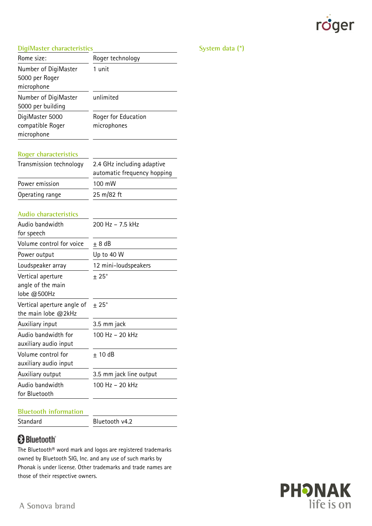

#### **DigiMaster characteristics**

| DigiMaster characteristics                            |                                                           |
|-------------------------------------------------------|-----------------------------------------------------------|
| Rome size:                                            | Roger technology                                          |
| Number of DigiMaster<br>5000 per Roger<br>microphone  | 1 unit                                                    |
| Number of DigiMaster<br>5000 per building             | unlimited                                                 |
| DigiMaster 5000                                       | Roger for Education                                       |
| compatible Roger                                      | microphones                                               |
| microphone                                            |                                                           |
| <b>Roger characteristics</b>                          |                                                           |
| Transmission technology                               | 2.4 GHz including adaptive<br>automatic frequency hopping |
| Power emission                                        | 100 mW                                                    |
| Operating range                                       | 25 m/82 ft                                                |
| Audio characteristics                                 |                                                           |
| Audio bandwidth<br>for speech                         | 200 Hz - 7.5 kHz                                          |
| Volume control for voice                              | $± 8$ dB                                                  |
| Power output                                          | Up to 40 W                                                |
| Loudspeaker array                                     | 12 mini-loudspeakers                                      |
| Vertical aperture<br>angle of the main<br>lobe @500Hz | $\pm 25^{\circ}$                                          |
| Vertical aperture angle of<br>the main lobe $@2kHz$   | $± 25^\circ$                                              |
| Auxiliary input                                       | 3.5 mm jack                                               |
| Audio bandwidth for                                   | 100 Hz - 20 kHz                                           |
| auxiliary audio input                                 |                                                           |
| Volume control for<br>auxiliary audio input           | $+10dB$                                                   |
| Auxiliary output                                      | 3.5 mm jack line output                                   |
| Audio bandwidth<br>for Bluetooth                      | 100 Hz - 20 kHz                                           |

#### **Bluetooth information**

Standard Bluetooth v4.2

# **Bluetooth**

The Bluetooth® word mark and logos are registered trademarks owned by Bluetooth SIG, Inc. and any use of such marks by Phonak is under license. Other trademarks and trade names are those of their respective owners.